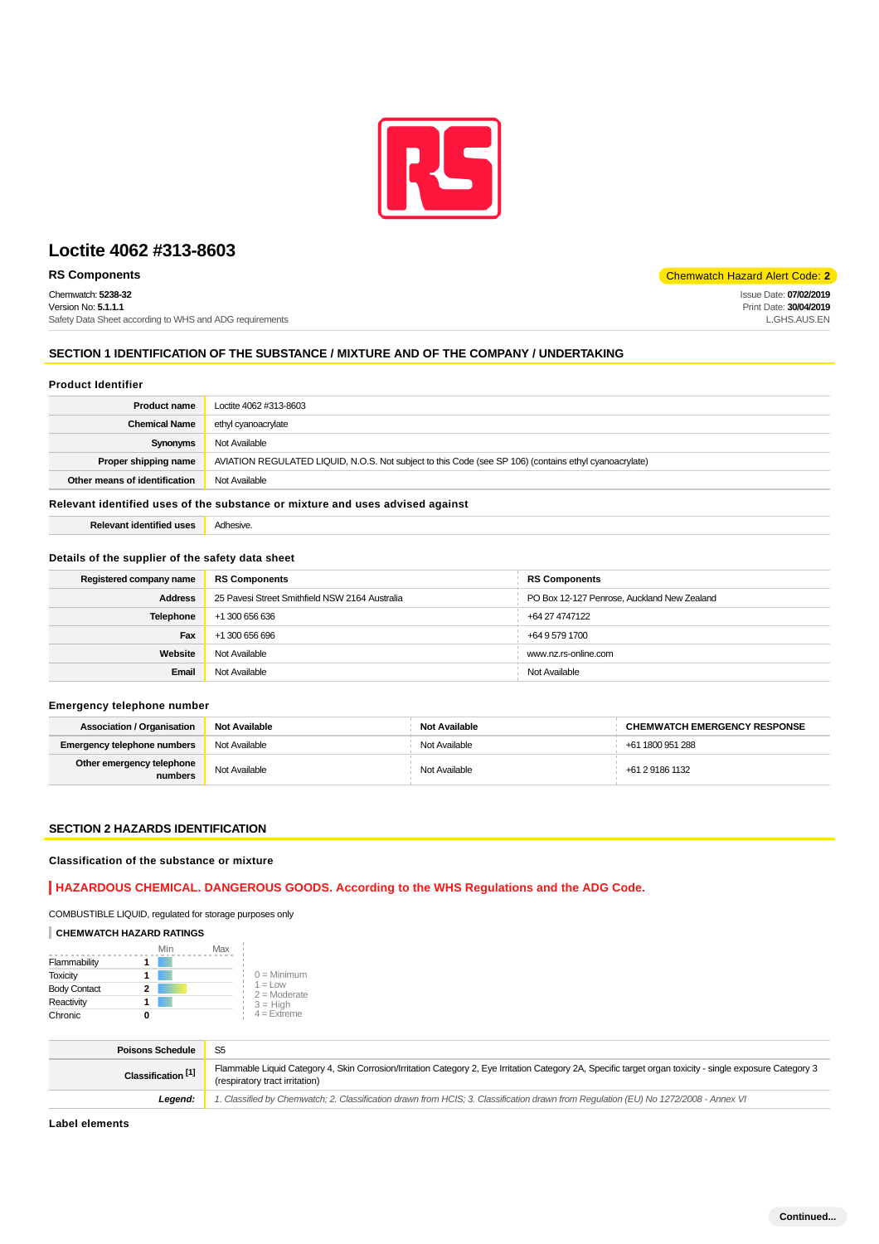

# **Loctite 4062 #313-8603**

# **RS Components** Components **Components** Code: 2

Chemwatch: **5238-32** Version No: **5.1.1.1** Safety Data Sheet according to WHS and ADG requirements

# Issue Date: **07/02/2019**

Print Date: **30/04/2019** L.GHS.AUS.EN

#### **SECTION 1 IDENTIFICATION OF THE SUBSTANCE / MIXTURE AND OF THE COMPANY / UNDERTAKING**

#### **Product Identifier**

| <b>Product name</b>           | Loctite 4062 #313-8603                                                                                 |
|-------------------------------|--------------------------------------------------------------------------------------------------------|
| <b>Chemical Name</b>          | ethyl cyanoacrylate                                                                                    |
| Synonyms                      | Not Available                                                                                          |
| Proper shipping name          | AVIATION REGULATED LIQUID, N.O.S. Not subject to this Code (see SP 106) (contains ethyl cyanoacrylate) |
| Other means of identification | Not Available                                                                                          |

#### **Relevant identified uses of the substance or mixture and uses advised against**

| Relevant identified uses | Adhesive. |
|--------------------------|-----------|
|                          |           |

#### **Details of the supplier of the safety data sheet**

| Registered company name | <b>RS Components</b>                           | <b>RS Components</b>                        |
|-------------------------|------------------------------------------------|---------------------------------------------|
| <b>Address</b>          | 25 Pavesi Street Smithfield NSW 2164 Australia | PO Box 12-127 Penrose, Auckland New Zealand |
| Telephone               | +1 300 656 636                                 | +64 27 4747122                              |
| Fax                     | +1 300 656 696                                 | +64 9 579 1700                              |
| Website                 | Not Available                                  | www.nz.rs-online.com                        |
| Email                   | Not Available                                  | Not Available                               |

#### **Emergency telephone number**

| <b>Association / Organisation</b>    | <b>Not Available</b> | <b>Not Available</b> | <b>CHEMWATCH EMERGENCY RESPONSE</b> |
|--------------------------------------|----------------------|----------------------|-------------------------------------|
| <b>Emergency telephone numbers</b>   | Not Available        | Not Available        | +61 1800 951 288                    |
| Other emergency telephone<br>numbers | Not Available        | Not Available        | +61 2 9186 1132                     |

#### **SECTION 2 HAZARDS IDENTIFICATION**

#### **Classification of the substance or mixture**

#### **HAZARDOUS CHEMICAL. DANGEROUS GOODS. According to the WHS Regulations and the ADG Code.**

COMBUSTIBLE LIQUID, regulated for storage purposes only

#### **CHEMWATCH HAZARD RATINGS**

|                     | Min | Max |                              |
|---------------------|-----|-----|------------------------------|
| Flammability        |     |     |                              |
| <b>Toxicity</b>     |     |     | $0 =$ Minimum                |
| <b>Body Contact</b> | 2   |     | $1 = 1$ OW<br>$2 =$ Moderate |
| Reactivity          |     |     | $3 = H$ iah                  |
| Chronic             |     |     | $4 =$ Extreme                |

| <b>Poisons Schedule</b>       | -S5                                                                                                                                                                                          |
|-------------------------------|----------------------------------------------------------------------------------------------------------------------------------------------------------------------------------------------|
| Classification <sup>[1]</sup> | Flammable Liquid Category 4, Skin Corrosion/Irritation Category 2, Eye Irritation Category 2A, Specific target organ toxicity - single exposure Category 3<br>(respiratory tract irritation) |
| Leaend:                       | 1. Classified by Chemwatch; 2. Classification drawn from HCIS; 3. Classification drawn from Regulation (EU) No 1272/2008 - Annex VI                                                          |

#### **Label elements**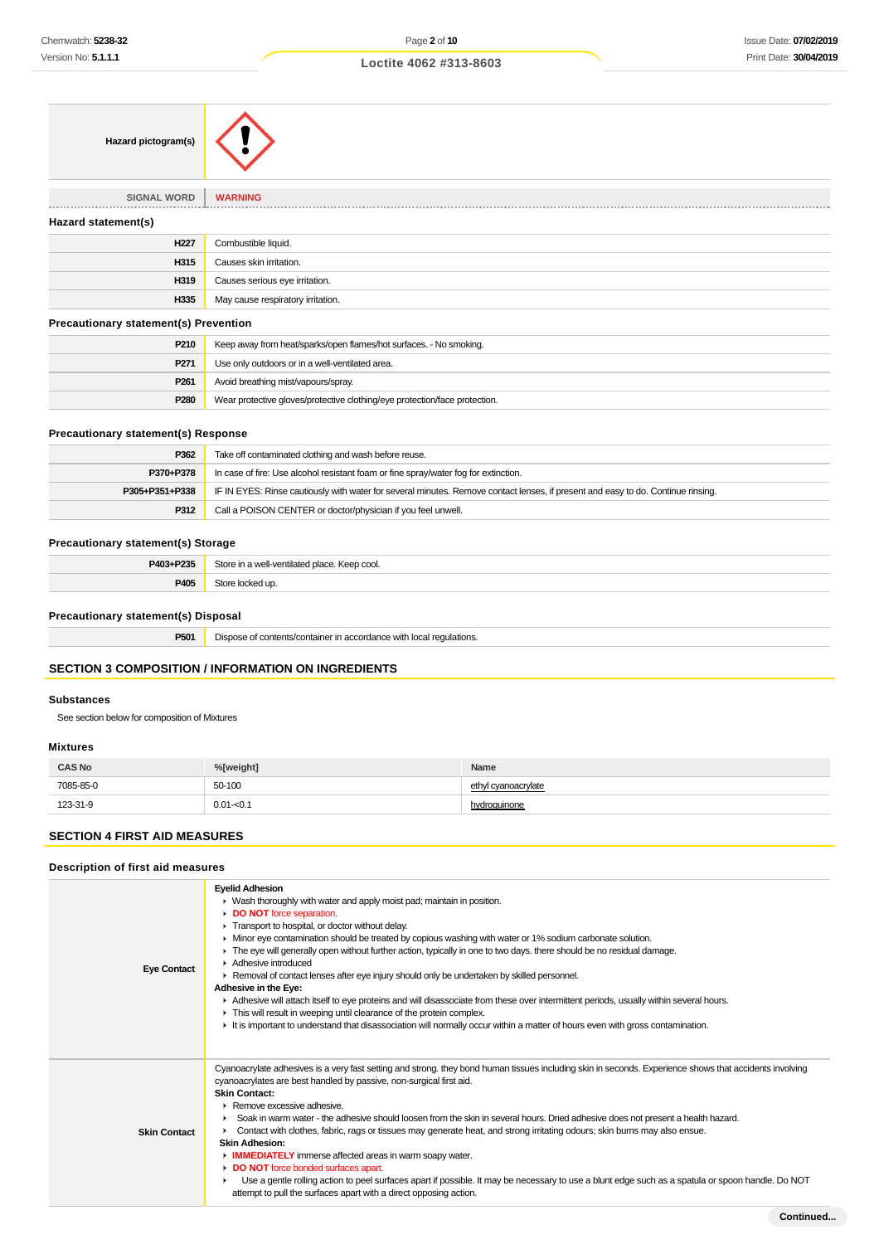#### **Loctite 4062 #313-8603**

| Hazard pictogram(s)                          |                                   |
|----------------------------------------------|-----------------------------------|
| <b>SIGNAL WORD</b>                           | <b>WARNING</b>                    |
| Hazard statement(s)                          |                                   |
| H <sub>227</sub>                             | Combustible liquid.               |
| H315                                         | Causes skin irritation.           |
| H319                                         | Causes serious eye irritation.    |
| H335                                         | May cause respiratory irritation. |
| <b>Precautionary statement(s) Prevention</b> |                                   |

| P <sub>210</sub> | Keep away from heat/sparks/open flames/hot surfaces. - No smoking.         |
|------------------|----------------------------------------------------------------------------|
| P <sub>271</sub> | Use only outdoors or in a well-ventilated area.                            |
| P <sub>261</sub> | Avoid breathing mist/vapours/spray.                                        |
| P280             | Wear protective gloves/protective clothing/eye protection/face protection. |

#### **Precautionary statement(s) Response**

| P362           | Take off contaminated clothing and wash before reuse.                                                                            |
|----------------|----------------------------------------------------------------------------------------------------------------------------------|
| P370+P378      | In case of fire: Use alcohol resistant foam or fine spray/water fog for extinction.                                              |
| P305+P351+P338 | IF IN EYES: Rinse cautiously with water for several minutes. Remove contact lenses, if present and easy to do. Continue rinsing. |
| P312           | Call a POISON CENTER or doctor/physician if you feel unwell.                                                                     |

# **Precautionary statement(s) Storage**

| P403+P235 | Store in a well-ventilated place. Keep cool. |
|-----------|----------------------------------------------|
| P405      | $C$ tori<br>locked up.                       |

# **Precautionary statement(s) Disposal**

**P501** Dispose of contents/container in accordance with local regulations.

# **SECTION 3 COMPOSITION / INFORMATION ON INGREDIENTS**

#### **Substances**

See section below for composition of Mixtures

#### **Mixtures**

| <b>CAS No</b> | %[weight]    | Name                |
|---------------|--------------|---------------------|
| 7085-85-0     | 50-100<br>.  | ethyl cyanoacrylate |
| 123-31-9      | $0.01 - 0.1$ | hydroguinone        |

# **SECTION 4 FIRST AID MEASURES**

# **Description of first aid measures**

|                     | <b>Eyelid Adhesion</b><br>▶ Wash thoroughly with water and apply moist pad; maintain in position.<br>DO NOT force separation.                                                                                                                                                                                                                                                                                                                                                                                                                                                                                                                                                                                                                                                                                                                                                                                |
|---------------------|--------------------------------------------------------------------------------------------------------------------------------------------------------------------------------------------------------------------------------------------------------------------------------------------------------------------------------------------------------------------------------------------------------------------------------------------------------------------------------------------------------------------------------------------------------------------------------------------------------------------------------------------------------------------------------------------------------------------------------------------------------------------------------------------------------------------------------------------------------------------------------------------------------------|
| <b>Eye Contact</b>  | Transport to hospital, or doctor without delay.<br>• Minor eye contamination should be treated by copious washing with water or 1% sodium carbonate solution.<br>The eye will generally open without further action, typically in one to two days, there should be no residual damage.<br>$\blacktriangleright$ Adhesive introduced<br>► Removal of contact lenses after eye injury should only be undertaken by skilled personnel.<br>Adhesive in the Eye:<br>Adhesive will attach itself to eye proteins and will disassociate from these over intermittent periods, usually within several hours.<br>This will result in weeping until clearance of the protein complex.<br>It is important to understand that disassociation will normally occur within a matter of hours even with gross contamination.                                                                                                 |
| <b>Skin Contact</b> | Cyanoacrylate adhesives is a very fast setting and strong. they bond human tissues including skin in seconds. Experience shows that accidents involving<br>cyanoacrylates are best handled by passive, non-surgical first aid.<br><b>Skin Contact:</b><br>▶ Remove excessive adhesive.<br>Soak in warm water - the adhesive should loosen from the skin in several hours. Dried adhesive does not present a health hazard.<br>Contact with clothes, fabric, rags or tissues may generate heat, and strong irritating odours; skin burns may also ensue.<br><b>Skin Adhesion:</b><br>IMMEDIATELY immerse affected areas in warm soapy water.<br>DO NOT force bonded surfaces apart.<br>Use a gentle rolling action to peel surfaces apart if possible. It may be necessary to use a blunt edge such as a spatula or spoon handle. Do NOT<br>attempt to pull the surfaces apart with a direct opposing action. |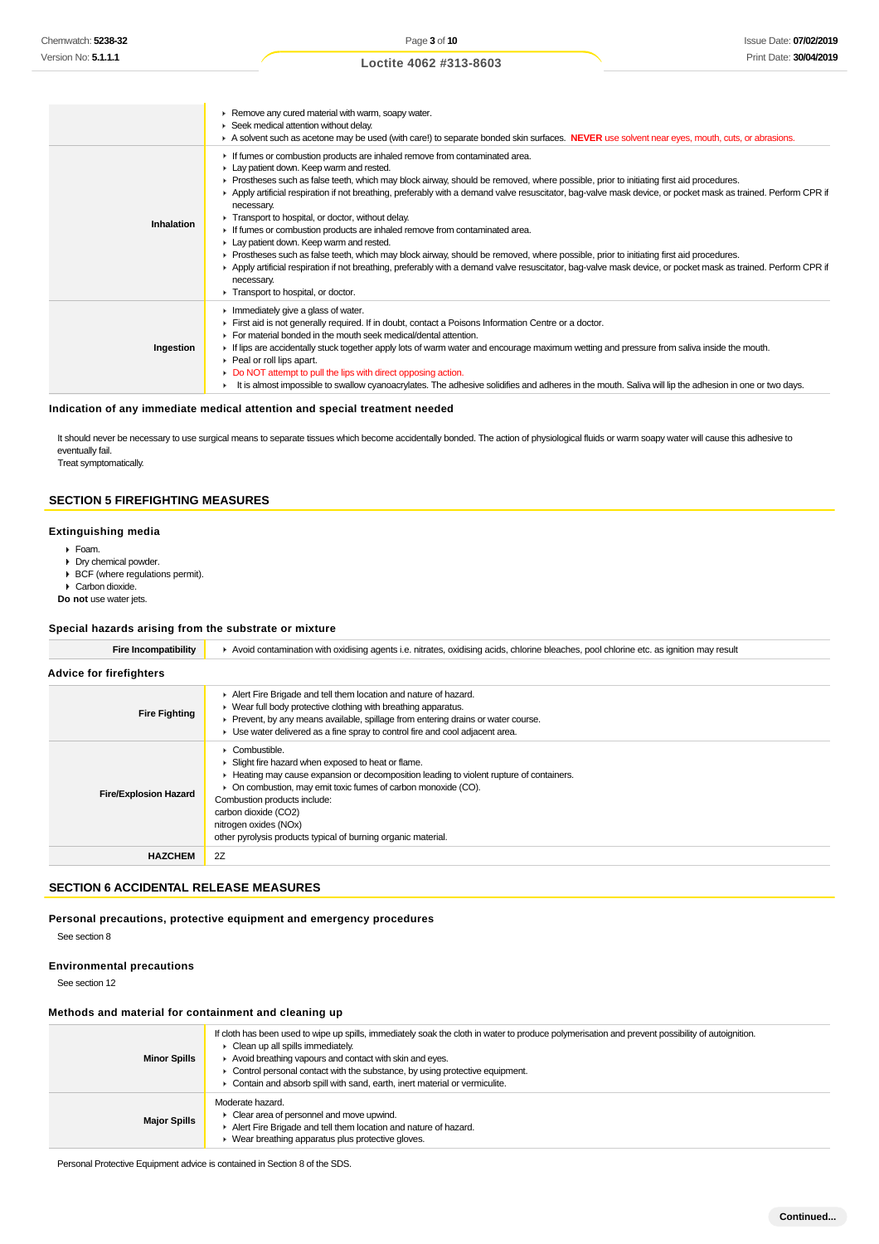|            | Remove any cured material with warm, soapy water.<br>Seek medical attention without delay.<br>A solvent such as acetone may be used (with care!) to separate bonded skin surfaces. NEVER use solvent near eyes, mouth, cuts, or abrasions.                                                                                                                                                                                                                                                                                                                                                                                                                                                                                                                                                                                                                                                                                                                                                |
|------------|-------------------------------------------------------------------------------------------------------------------------------------------------------------------------------------------------------------------------------------------------------------------------------------------------------------------------------------------------------------------------------------------------------------------------------------------------------------------------------------------------------------------------------------------------------------------------------------------------------------------------------------------------------------------------------------------------------------------------------------------------------------------------------------------------------------------------------------------------------------------------------------------------------------------------------------------------------------------------------------------|
| Inhalation | If fumes or combustion products are inhaled remove from contaminated area.<br>Lay patient down. Keep warm and rested.<br>► Prostheses such as false teeth, which may block airway, should be removed, where possible, prior to initiating first aid procedures.<br>▶ Apply artificial respiration if not breathing, preferably with a demand valve resuscitator, bag-valve mask device, or pocket mask as trained. Perform CPR if<br>necessary.<br>Transport to hospital, or doctor, without delay.<br>If fumes or combustion products are inhaled remove from contaminated area.<br>Lay patient down. Keep warm and rested.<br>► Prostheses such as false teeth, which may block airway, should be removed, where possible, prior to initiating first aid procedures.<br>Apply artificial respiration if not breathing, preferably with a demand valve resuscitator, bag-valve mask device, or pocket mask as trained. Perform CPR if<br>necessary.<br>Transport to hospital, or doctor. |
| Ingestion  | $\blacktriangleright$ Immediately give a glass of water.<br>First aid is not generally required. If in doubt, contact a Poisons Information Centre or a doctor.<br>For material bonded in the mouth seek medical/dental attention.<br>If lips are accidentally stuck together apply lots of warm water and encourage maximum wetting and pressure from saliva inside the mouth.<br>$\triangleright$ Peal or roll lips apart.<br>• Do NOT attempt to pull the lips with direct opposing action.<br>It is almost impossible to swallow cyanoacrylates. The adhesive solidifies and adheres in the mouth. Saliva will lip the adhesion in one or two days.                                                                                                                                                                                                                                                                                                                                   |

#### **Indication of any immediate medical attention and special treatment needed**

It should never be necessary to use surgical means to separate tissues which become accidentally bonded. The action of physiological fluids or warm soapy water will cause this adhesive to eventually fail.

Treat symptomatically.

# **SECTION 5 FIREFIGHTING MEASURES**

#### **Extinguishing media**

- Foam.
- Dry chemical powder.
- BCF (where regulations permit).
- ▶ Carbon dioxide.
- **Do not** use water jets.

#### **Special hazards arising from the substrate or mixture**

| Fire Incompatibility           | Avoid contamination with oxidising agents i.e. nitrates, oxidising acids, chlorine bleaches, pool chlorine etc. as ignition may result                                                                                                                                                                                                                                                               |  |
|--------------------------------|------------------------------------------------------------------------------------------------------------------------------------------------------------------------------------------------------------------------------------------------------------------------------------------------------------------------------------------------------------------------------------------------------|--|
| <b>Advice for firefighters</b> |                                                                                                                                                                                                                                                                                                                                                                                                      |  |
| <b>Fire Fighting</b>           | Alert Fire Brigade and tell them location and nature of hazard.<br>• Wear full body protective clothing with breathing apparatus.<br>• Prevent, by any means available, spillage from entering drains or water course.<br>• Use water delivered as a fine spray to control fire and cool adjacent area.                                                                                              |  |
| <b>Fire/Explosion Hazard</b>   | $\triangleright$ Combustible.<br>• Slight fire hazard when exposed to heat or flame.<br>► Heating may cause expansion or decomposition leading to violent rupture of containers.<br>• On combustion, may emit toxic fumes of carbon monoxide (CO).<br>Combustion products include:<br>carbon dioxide (CO2)<br>nitrogen oxides (NOx)<br>other pyrolysis products typical of burning organic material. |  |
| <b>HAZCHEM</b>                 | 2Z                                                                                                                                                                                                                                                                                                                                                                                                   |  |

#### **SECTION 6 ACCIDENTAL RELEASE MEASURES**

**Personal precautions, protective equipment and emergency procedures** See section 8

# **Environmental precautions**

See section 12

#### **Methods and material for containment and cleaning up**

| <b>Minor Spills</b> | If cloth has been used to wipe up spills, immediately soak the cloth in water to produce polymerisation and prevent possibility of autoignition.<br>$\triangleright$ Clean up all spills immediately.<br>Avoid breathing vapours and contact with skin and eyes.<br>$\triangleright$ Control personal contact with the substance, by using protective equipment.<br>Contain and absorb spill with sand, earth, inert material or vermiculite. |
|---------------------|-----------------------------------------------------------------------------------------------------------------------------------------------------------------------------------------------------------------------------------------------------------------------------------------------------------------------------------------------------------------------------------------------------------------------------------------------|
| <b>Major Spills</b> | Moderate hazard.<br>• Clear area of personnel and move upwind.<br>Alert Fire Brigade and tell them location and nature of hazard.<br>• Wear breathing apparatus plus protective gloves.                                                                                                                                                                                                                                                       |

Personal Protective Equipment advice is contained in Section 8 of the SDS.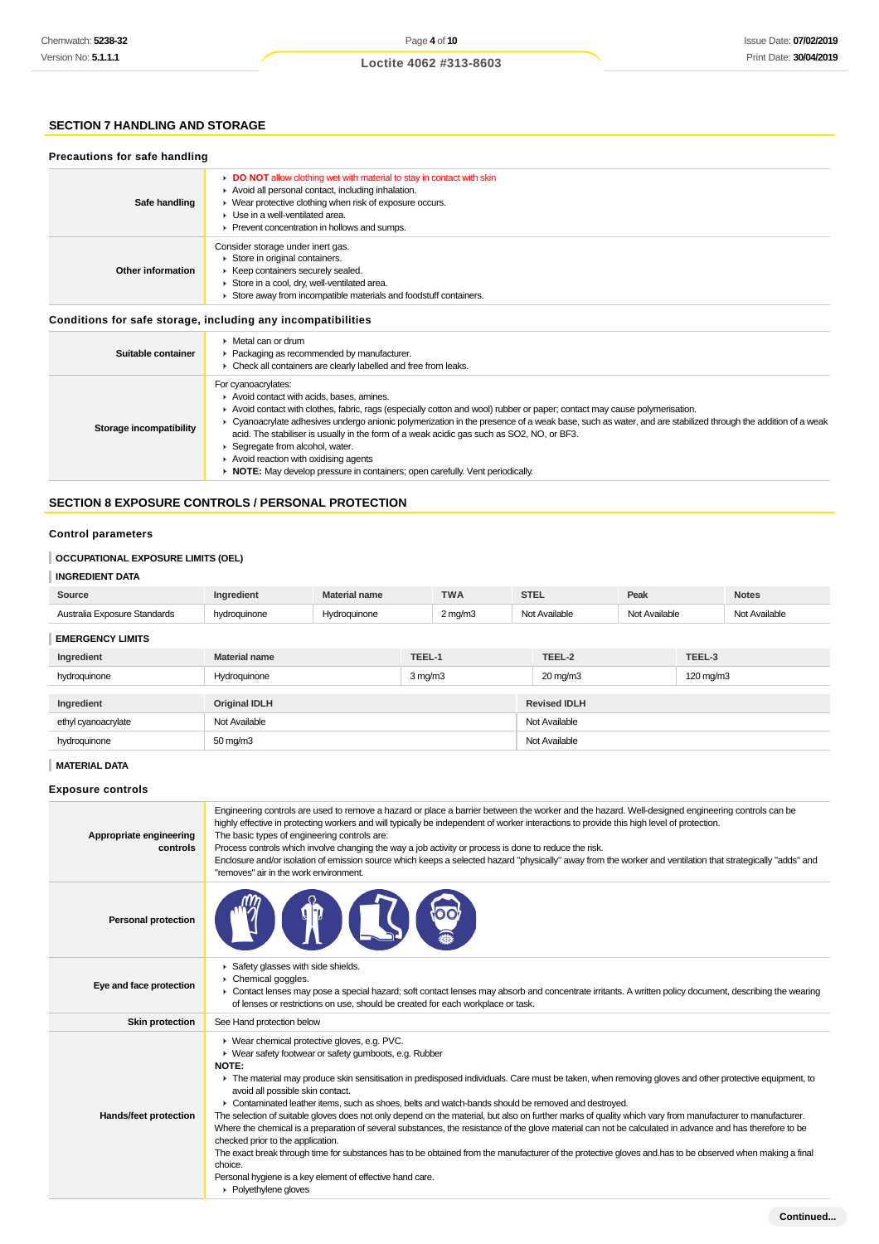#### **SECTION 7 HANDLING AND STORAGE**

#### **Precautions for safe handling**

| Safe handling     | DO NOT allow clothing wet with material to stay in contact with skin<br>Avoid all personal contact, including inhalation.<br>▶ Wear protective clothing when risk of exposure occurs.<br>• Use in a well-ventilated area.<br>▶ Prevent concentration in hollows and sumps. |
|-------------------|----------------------------------------------------------------------------------------------------------------------------------------------------------------------------------------------------------------------------------------------------------------------------|
| Other information | Consider storage under inert gas.<br>Store in original containers.<br>▶ Keep containers securely sealed.<br>Store in a cool, dry, well-ventilated area.<br>Store away from incompatible materials and foodstuff containers.                                                |

#### **Conditions for safe storage, including any incompatibilities**

| Suitable container      | $\blacktriangleright$ Metal can or drum<br>• Packaging as recommended by manufacturer.<br>• Check all containers are clearly labelled and free from leaks.                                                                                                                                                                                                                                                                                                                                                                                                                                                                    |
|-------------------------|-------------------------------------------------------------------------------------------------------------------------------------------------------------------------------------------------------------------------------------------------------------------------------------------------------------------------------------------------------------------------------------------------------------------------------------------------------------------------------------------------------------------------------------------------------------------------------------------------------------------------------|
| Storage incompatibility | For cyanoacrylates:<br>Avoid contact with acids, bases, amines.<br>Avoid contact with clothes, fabric, rags (especially cotton and wool) rubber or paper; contact may cause polymerisation.<br>▶ Cyanoacrylate adhesives undergo anionic polymerization in the presence of a weak base, such as water, and are stabilized through the addition of a weak<br>acid. The stabiliser is usually in the form of a weak acidic gas such as SO2, NO, or BF3.<br>Segregate from alcohol, water.<br>Avoid reaction with oxidising agents<br>$\rightarrow$ NOTE: May develop pressure in containers; open carefully. Vent periodically. |

#### **SECTION 8 EXPOSURE CONTROLS / PERSONAL PROTECTION**

#### **Control parameters**

#### **OCCUPATIONAL EXPOSURE LIMITS (OEL)**

#### **INGREDIENT DATA**

| Source                       | Ingredient   | <b>Material name</b> | <b>TWA</b>   | <b>STEL</b>   | Peak          | <b>Notes</b>  |
|------------------------------|--------------|----------------------|--------------|---------------|---------------|---------------|
| Australia Exposure Standards | hydroguinone | <b>Hvdroauinone</b>  | $2$ mg/m $3$ | Not Available | Not Available | Not Available |
|                              |              |                      |              |               |               |               |

#### **EMERGENCY LIMITS**

| Ingredient          | <b>Material name</b> | TEEL-1       | TEEL-2              | TEEL-3    |
|---------------------|----------------------|--------------|---------------------|-----------|
| hydroquinone        | Hydroquinone         | $3$ mg/m $3$ | 20 mg/m3            | 120 mg/m3 |
|                     |                      |              |                     |           |
| Ingredient          | <b>Original IDLH</b> |              | <b>Revised IDLH</b> |           |
| ethyl cyanoacrylate | Not Available        |              | Not Available       |           |
| hydroquinone        | 50 mg/m3             |              | Not Available       |           |

#### **MATERIAL DATA Exposure controls** Engineering controls are used to remove a hazard or place a barrier between the worker and the hazard. Well-designed engineering controls can be highly effective in protecting workers and will typically be independent of worker interactions to provide this high level of protection. **Appropriate engineering** The basic types of engineering controls are: **controls** Process controls which involve changing the way a job activity or process is done to reduce the risk. Enclosure and/or isolation of emission source which keeps a selected hazard "physically" away from the worker and ventilation that strategically "adds" and "removes" air in the work environment. **Personal protection** ▶ Safety glasses with side shields. Chemical goggles. ×. **Eye and face protection** Contact lenses may pose a special hazard; soft contact lenses may absorb and concentrate irritants. A written policy document, describing the wearing ¥. of lenses or restrictions on use, should be created for each workplace or task. **Skin protection** See Hand protection below Wear chemical protective gloves, e.g. PVC. Wear safety footwear or safety gumboots, e.g. Rubber **NOTE:** The material may produce skin sensitisation in predisposed individuals. Care must be taken, when removing gloves and other protective equipment, to avoid all possible skin contact. Contaminated leather items, such as shoes, belts and watch-bands should be removed and destroyed. **Hands/feet protection** The selection of suitable gloves does not only depend on the material, but also on further marks of quality which vary from manufacturer to manufacturer. Where the chemical is a preparation of several substances, the resistance of the glove material can not be calculated in advance and has therefore to be checked prior to the application. The exact break through time for substances has to be obtained from the manufacturer of the protective gloves and.has to be observed when making a final choice. Personal hygiene is a key element of effective hand care. ▶ Polyethylene gloves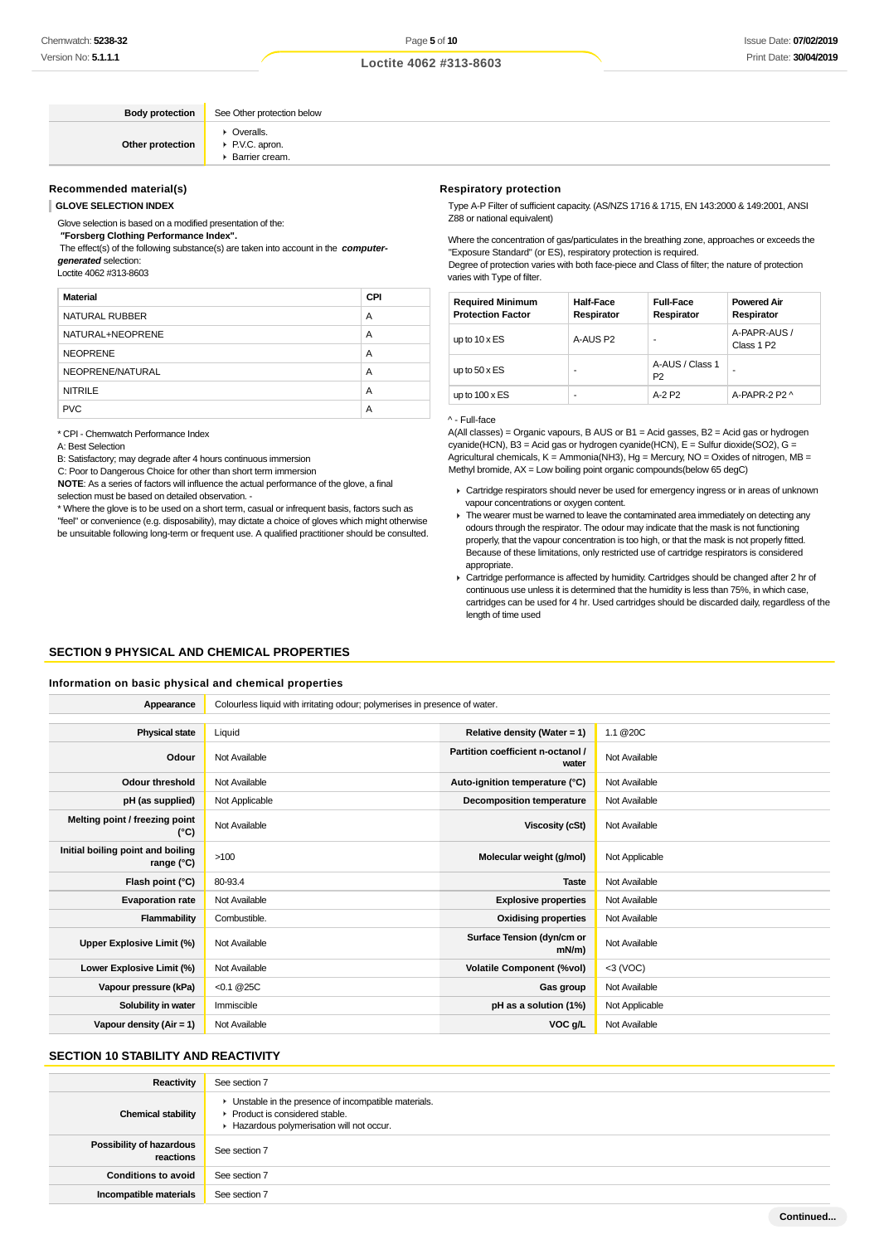**Loctite 4062 #313-8603**

**Body protection** See Other protection below

**Other protection** Overalls. P.V.C. apron. Barrier cream.

#### **Recommended material(s)**

**GLOVE SELECTION INDEX**

Glove selection is based on a modified presentation of the:

#### **"Forsberg Clothing Performance Index".**

 The effect(s) of the following substance(s) are taken into account in the **computergenerated** selection:

Loctite 4062 #313-8603

| <b>Material</b>  | <b>CPI</b> |
|------------------|------------|
| NATURAL RUBBER   | A          |
| NATURAL+NEOPRENE | A          |
| <b>NEOPRENE</b>  | A          |
| NEOPRENE/NATURAL | A          |
| <b>NITRILE</b>   | A          |
| <b>PVC</b>       | А          |

\* CPI - Chemwatch Performance Index

A: Best Selection

B: Satisfactory; may degrade after 4 hours continuous immersion

C: Poor to Dangerous Choice for other than short term immersion

**NOTE**: As a series of factors will influence the actual performance of the glove, a final selection must be based on detailed observation. -

\* Where the glove is to be used on a short term, casual or infrequent basis, factors such as "feel" or convenience (e.g. disposability), may dictate a choice of gloves which might otherwise be unsuitable following long-term or frequent use. A qualified practitioner should be consulted.

#### **Respiratory protection**

Type A-P Filter of sufficient capacity. (AS/NZS 1716 & 1715, EN 143:2000 & 149:2001, ANSI Z88 or national equivalent)

Where the concentration of gas/particulates in the breathing zone, approaches or exceeds the "Exposure Standard" (or ES), respiratory protection is required. Degree of protection varies with both face-piece and Class of filter; the nature of protection varies with Type of filter.

| <b>Required Minimum</b><br><b>Protection Factor</b> | <b>Half-Face</b><br>Respirator | <b>Full-Face</b><br>Respirator    | <b>Powered Air</b><br>Respirator       |
|-----------------------------------------------------|--------------------------------|-----------------------------------|----------------------------------------|
| up to $10 \times ES$                                | A-AUS P2                       |                                   | A-PAPR-AUS /<br>Class 1 P <sub>2</sub> |
| up to $50 \times ES$                                | ۰                              | A-AUS / Class 1<br>P <sub>2</sub> |                                        |
| up to $100 \times ES$                               | -                              | A-2 P2                            | A-PAPR-2 P2 ^                          |

^ - Full-face

 $A($ All classes) = Organic vapours, B AUS or B1 = Acid gasses, B2 = Acid gas or hydrogen cyanide(HCN), B3 = Acid gas or hydrogen cyanide(HCN), E = Sulfur dioxide(SO2), G = Agricultural chemicals,  $K =$  Ammonia(NH3), Hg = Mercury, NO = Oxides of nitrogen, MB = Methyl bromide, AX = Low boiling point organic compounds(below 65 degC)

- Cartridge respirators should never be used for emergency ingress or in areas of unknown vapour concentrations or oxygen content.
- $\blacktriangleright$  The wearer must be warned to leave the contaminated area immediately on detecting any odours through the respirator. The odour may indicate that the mask is not functioning properly, that the vapour concentration is too high, or that the mask is not properly fitted. Because of these limitations, only restricted use of cartridge respirators is considered appropriate.
- ▶ Cartridge performance is affected by humidity. Cartridges should be changed after 2 hr of continuous use unless it is determined that the humidity is less than 75%, in which case, cartridges can be used for 4 hr. Used cartridges should be discarded daily, regardless of the length of time used

#### **SECTION 9 PHYSICAL AND CHEMICAL PROPERTIES**

#### **Information on basic physical and chemical properties**

| Appearance                                      | Colourless liquid with irritating odour; polymerises in presence of water. |                                            |                |  |  |
|-------------------------------------------------|----------------------------------------------------------------------------|--------------------------------------------|----------------|--|--|
|                                                 |                                                                            |                                            |                |  |  |
| <b>Physical state</b>                           | Liquid                                                                     | Relative density (Water = 1)               | 1.1 @20C       |  |  |
| Odour                                           | Not Available                                                              | Partition coefficient n-octanol /<br>water | Not Available  |  |  |
| <b>Odour threshold</b>                          | Not Available                                                              | Auto-ignition temperature (°C)             | Not Available  |  |  |
| pH (as supplied)                                | Not Applicable                                                             | <b>Decomposition temperature</b>           | Not Available  |  |  |
| Melting point / freezing point<br>(°C)          | Not Available                                                              | Viscosity (cSt)                            | Not Available  |  |  |
| Initial boiling point and boiling<br>range (°C) | >100                                                                       | Molecular weight (g/mol)                   | Not Applicable |  |  |
| Flash point (°C)                                | 80-93.4                                                                    | <b>Taste</b>                               | Not Available  |  |  |
| <b>Evaporation rate</b>                         | Not Available                                                              | <b>Explosive properties</b>                | Not Available  |  |  |
| Flammability                                    | Combustible.                                                               | <b>Oxidising properties</b>                | Not Available  |  |  |
| Upper Explosive Limit (%)                       | Not Available                                                              | Surface Tension (dyn/cm or<br>$mN/m$ )     | Not Available  |  |  |
| Lower Explosive Limit (%)                       | Not Available                                                              | <b>Volatile Component (%vol)</b>           | $<$ 3 (VOC)    |  |  |
| Vapour pressure (kPa)                           | $< 0.1 \ @ 25C$                                                            | Gas group                                  | Not Available  |  |  |
| Solubility in water                             | Immiscible                                                                 | pH as a solution (1%)                      | Not Applicable |  |  |
| Vapour density $(Air = 1)$                      | Not Available                                                              | VOC g/L                                    | Not Available  |  |  |

#### **SECTION 10 STABILITY AND REACTIVITY**

| <b>Reactivity</b>                     | See section 7                                                                                                                        |
|---------------------------------------|--------------------------------------------------------------------------------------------------------------------------------------|
| <b>Chemical stability</b>             | • Unstable in the presence of incompatible materials.<br>▶ Product is considered stable.<br>Hazardous polymerisation will not occur. |
| Possibility of hazardous<br>reactions | See section 7                                                                                                                        |
| <b>Conditions to avoid</b>            | See section 7                                                                                                                        |
| Incompatible materials                | See section 7                                                                                                                        |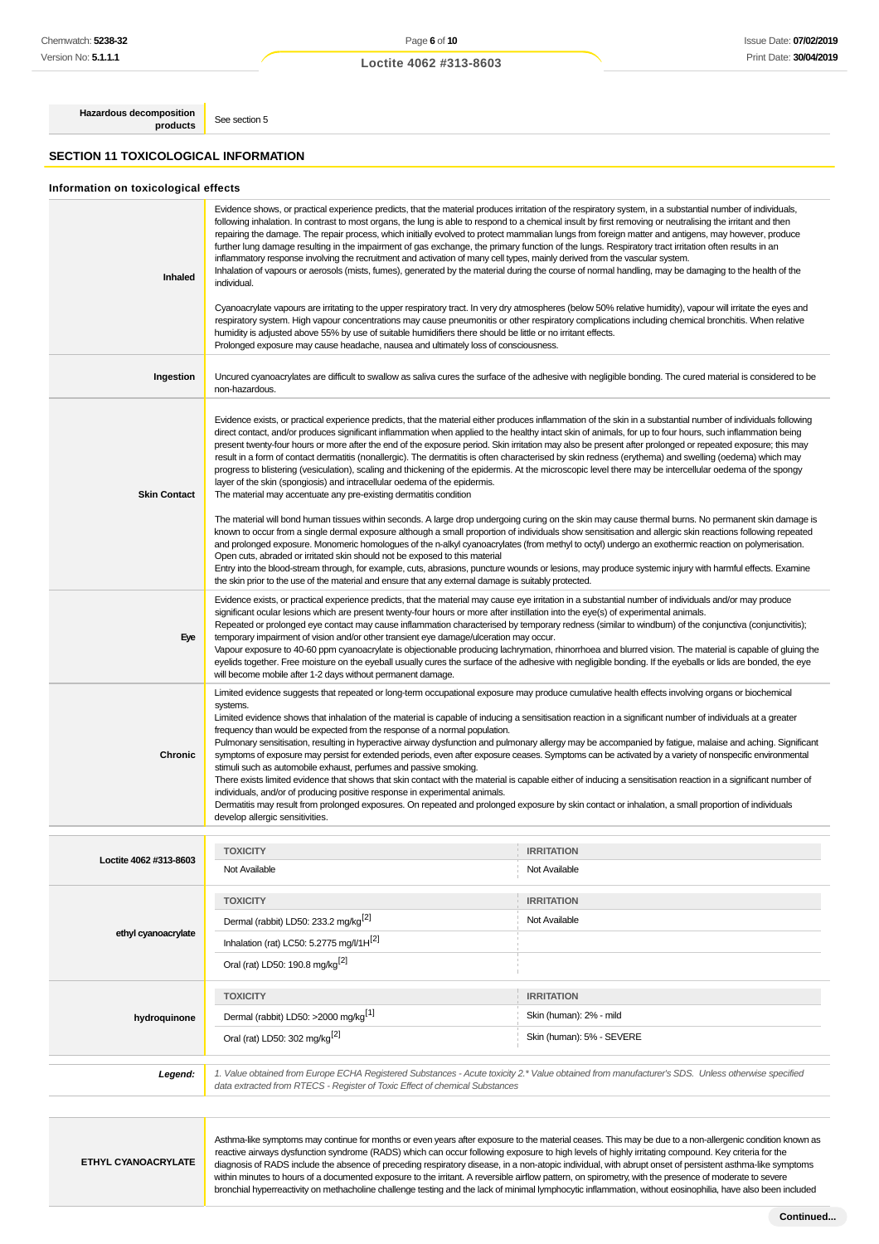# Page **6** of **10 Loctite 4062 #313-8603**

**Hazardous decomposition products** See section 5

**SECTION 11 TOXICOLOGICAL INFORMATION**

#### **Information on toxicological effects**

| Inhaled             | Evidence shows, or practical experience predicts, that the material produces irritation of the respiratory system, in a substantial number of individuals,<br>following inhalation. In contrast to most organs, the lung is able to respond to a chemical insult by first removing or neutralising the irritant and then<br>repairing the damage. The repair process, which initially evolved to protect mammalian lungs from foreign matter and antigens, may however, produce<br>further lung damage resulting in the impairment of gas exchange, the primary function of the lungs. Respiratory tract irritation often results in an<br>inflammatory response involving the recruitment and activation of many cell types, mainly derived from the vascular system.<br>Inhalation of vapours or aerosols (mists, fumes), generated by the material during the course of normal handling, may be damaging to the health of the<br>individual.                                                                                                                                                                                                                                                                                                                                                                                                                                                                                                |                                                                                                                                                             |  |  |
|---------------------|------------------------------------------------------------------------------------------------------------------------------------------------------------------------------------------------------------------------------------------------------------------------------------------------------------------------------------------------------------------------------------------------------------------------------------------------------------------------------------------------------------------------------------------------------------------------------------------------------------------------------------------------------------------------------------------------------------------------------------------------------------------------------------------------------------------------------------------------------------------------------------------------------------------------------------------------------------------------------------------------------------------------------------------------------------------------------------------------------------------------------------------------------------------------------------------------------------------------------------------------------------------------------------------------------------------------------------------------------------------------------------------------------------------------------------------------|-------------------------------------------------------------------------------------------------------------------------------------------------------------|--|--|
|                     | Cyanoacrylate vapours are irritating to the upper respiratory tract. In very dry atmospheres (below 50% relative humidity), vapour will irritate the eyes and<br>respiratory system. High vapour concentrations may cause pneumonitis or other respiratory complications including chemical bronchitis. When relative<br>humidity is adjusted above 55% by use of suitable humidifiers there should be little or no irritant effects.<br>Prolonged exposure may cause headache, nausea and ultimately loss of consciousness.                                                                                                                                                                                                                                                                                                                                                                                                                                                                                                                                                                                                                                                                                                                                                                                                                                                                                                                   |                                                                                                                                                             |  |  |
| Ingestion           | non-hazardous.                                                                                                                                                                                                                                                                                                                                                                                                                                                                                                                                                                                                                                                                                                                                                                                                                                                                                                                                                                                                                                                                                                                                                                                                                                                                                                                                                                                                                                 | Uncured cyanoacrylates are difficult to swallow as saliva cures the surface of the adhesive with negligible bonding. The cured material is considered to be |  |  |
| <b>Skin Contact</b> | Evidence exists, or practical experience predicts, that the material either produces inflammation of the skin in a substantial number of individuals following<br>direct contact, and/or produces significant inflammation when applied to the healthy intact skin of animals, for up to four hours, such inflammation being<br>present twenty-four hours or more after the end of the exposure period. Skin irritation may also be present after prolonged or repeated exposure; this may<br>result in a form of contact dermatitis (nonallergic). The dermatitis is often characterised by skin redness (erythema) and swelling (oedema) which may<br>progress to blistering (vesiculation), scaling and thickening of the epidermis. At the microscopic level there may be intercellular oedema of the spongy<br>layer of the skin (spongiosis) and intracellular oedema of the epidermis.<br>The material may accentuate any pre-existing dermatitis condition<br>The material will bond human tissues within seconds. A large drop undergoing curing on the skin may cause thermal burns. No permanent skin damage is<br>known to occur from a single dermal exposure although a small proportion of individuals show sensitisation and allergic skin reactions following repeated<br>and prolonged exposure. Monomeric homologues of the n-alkyl cyanoacrylates (from methyl to octyl) undergo an exothermic reaction on polymerisation. |                                                                                                                                                             |  |  |
|                     | Open cuts, abraded or irritated skin should not be exposed to this material<br>Entry into the blood-stream through, for example, cuts, abrasions, puncture wounds or lesions, may produce systemic injury with harmful effects. Examine<br>the skin prior to the use of the material and ensure that any external damage is suitably protected.                                                                                                                                                                                                                                                                                                                                                                                                                                                                                                                                                                                                                                                                                                                                                                                                                                                                                                                                                                                                                                                                                                |                                                                                                                                                             |  |  |
| Eye                 | Evidence exists, or practical experience predicts, that the material may cause eye irritation in a substantial number of individuals and/or may produce<br>significant ocular lesions which are present twenty-four hours or more after instillation into the eye(s) of experimental animals.<br>Repeated or prolonged eye contact may cause inflammation characterised by temporary redness (similar to windburn) of the conjunctiva (conjunctivitis);<br>temporary impairment of vision and/or other transient eye damage/ulceration may occur.<br>Vapour exposure to 40-60 ppm cyanoacrylate is objectionable producing lachrymation, rhinorrhoea and blurred vision. The material is capable of gluing the<br>eyelids together. Free moisture on the eyeball usually cures the surface of the adhesive with negligible bonding. If the eyeballs or lids are bonded, the eye<br>will become mobile after 1-2 days without permanent damage.                                                                                                                                                                                                                                                                                                                                                                                                                                                                                                 |                                                                                                                                                             |  |  |
| Chronic             | Limited evidence suggests that repeated or long-term occupational exposure may produce cumulative health effects involving organs or biochemical<br>systems.<br>Limited evidence shows that inhalation of the material is capable of inducing a sensitisation reaction in a significant number of individuals at a greater<br>frequency than would be expected from the response of a normal population.<br>Pulmonary sensitisation, resulting in hyperactive airway dysfunction and pulmonary allergy may be accompanied by fatigue, malaise and aching. Significant<br>symptoms of exposure may persist for extended periods, even after exposure ceases. Symptoms can be activated by a variety of nonspecific environmental<br>stimuli such as automobile exhaust, perfumes and passive smoking.<br>There exists limited evidence that shows that skin contact with the material is capable either of inducing a sensitisation reaction in a significant number of<br>individuals, and/or of producing positive response in experimental animals.<br>Dermatitis may result from prolonged exposures. On repeated and prolonged exposure by skin contact or inhalation, a small proportion of individuals<br>develop allergic sensitivities.                                                                                                                                                                                                |                                                                                                                                                             |  |  |
|                     |                                                                                                                                                                                                                                                                                                                                                                                                                                                                                                                                                                                                                                                                                                                                                                                                                                                                                                                                                                                                                                                                                                                                                                                                                                                                                                                                                                                                                                                |                                                                                                                                                             |  |  |
| tite 4062 #313-8603 | <b>TOXICITY</b><br>Not Available                                                                                                                                                                                                                                                                                                                                                                                                                                                                                                                                                                                                                                                                                                                                                                                                                                                                                                                                                                                                                                                                                                                                                                                                                                                                                                                                                                                                               | <b>IRRITATION</b><br>Not Available                                                                                                                          |  |  |
| ethyl cyanoacrylate | <b>TOXICITY</b><br>Dermal (rabbit) LD50: 233.2 mg/kg <sup>[2]</sup><br>Inhalation (rat) LC50: 5.2775 mg/l/1H[2]<br>Oral (rat) LD50: 190.8 mg/kg <sup>[2]</sup>                                                                                                                                                                                                                                                                                                                                                                                                                                                                                                                                                                                                                                                                                                                                                                                                                                                                                                                                                                                                                                                                                                                                                                                                                                                                                 | <b>IRRITATION</b><br>Not Available                                                                                                                          |  |  |
|                     | <b>TOXICITY</b>                                                                                                                                                                                                                                                                                                                                                                                                                                                                                                                                                                                                                                                                                                                                                                                                                                                                                                                                                                                                                                                                                                                                                                                                                                                                                                                                                                                                                                | <b>IRRITATION</b>                                                                                                                                           |  |  |
| hydroquinone        | Dermal (rabbit) LD50: >2000 mg/kg <sup>[1]</sup>                                                                                                                                                                                                                                                                                                                                                                                                                                                                                                                                                                                                                                                                                                                                                                                                                                                                                                                                                                                                                                                                                                                                                                                                                                                                                                                                                                                               | Skin (human): 2% - mild                                                                                                                                     |  |  |
|                     | Oral (rat) LD50: 302 mg/kg <sup>[2]</sup>                                                                                                                                                                                                                                                                                                                                                                                                                                                                                                                                                                                                                                                                                                                                                                                                                                                                                                                                                                                                                                                                                                                                                                                                                                                                                                                                                                                                      | Skin (human): 5% - SEVERE                                                                                                                                   |  |  |
| Legend:             | 1. Value obtained from Europe ECHA Registered Substances - Acute toxicity 2.* Value obtained from manufacturer's SDS. Unless otherwise specified<br>data extracted from RTECS - Register of Toxic Effect of chemical Substances                                                                                                                                                                                                                                                                                                                                                                                                                                                                                                                                                                                                                                                                                                                                                                                                                                                                                                                                                                                                                                                                                                                                                                                                                |                                                                                                                                                             |  |  |
| ETHYL CYANOACRYLATE | reactive airways dysfunction syndrome (RADS) which can occur following exposure to high levels of highly irritating compound. Key criteria for the<br>diagnosis of RADS include the absence of preceding respiratory disease, in a non-atopic individual, with abrupt onset of persistent asthma-like symptoms                                                                                                                                                                                                                                                                                                                                                                                                                                                                                                                                                                                                                                                                                                                                                                                                                                                                                                                                                                                                                                                                                                                                 | Asthma-like symptoms may continue for months or even years after exposure to the material ceases. This may be due to a non-allergenic condition known as    |  |  |

within minutes to hours of a documented exposure to the irritant. A reversible airflow pattern, on spirometry, with the presence of moderate to severe bronchial hyperreactivity on methacholine challenge testing and the lack of minimal lymphocytic inflammation, without eosinophilia, have also been included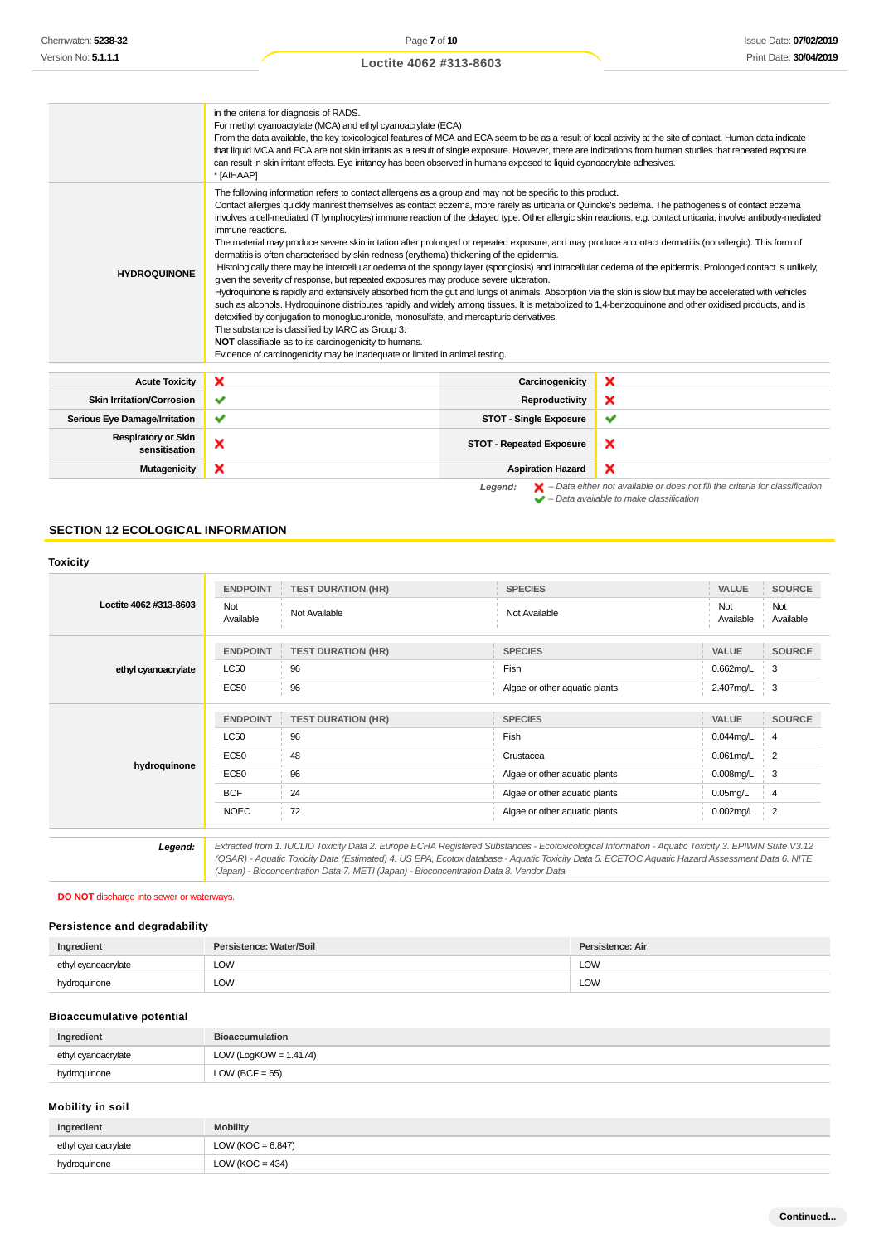|                                             | in the criteria for diagnosis of RADS.<br>For methyl cyanoacrylate (MCA) and ethyl cyanoacrylate (ECA)<br>From the data available, the key toxicological features of MCA and ECA seem to be as a result of local activity at the site of contact. Human data indicate<br>that liquid MCA and ECA are not skin irritants as a result of single exposure. However, there are indications from human studies that repeated exposure<br>can result in skin irritant effects. Eye irritancy has been observed in humans exposed to liquid cyanoacrylate adhesives.<br>* [AIHAAP]                                                                                                                                                                                                                                                                                                                                                                                                                                                                                                                                                                                                                                                                                                                                                                                                                                                                                                                                                                                                      |                                 |                                                                                                                                                                     |
|---------------------------------------------|----------------------------------------------------------------------------------------------------------------------------------------------------------------------------------------------------------------------------------------------------------------------------------------------------------------------------------------------------------------------------------------------------------------------------------------------------------------------------------------------------------------------------------------------------------------------------------------------------------------------------------------------------------------------------------------------------------------------------------------------------------------------------------------------------------------------------------------------------------------------------------------------------------------------------------------------------------------------------------------------------------------------------------------------------------------------------------------------------------------------------------------------------------------------------------------------------------------------------------------------------------------------------------------------------------------------------------------------------------------------------------------------------------------------------------------------------------------------------------------------------------------------------------------------------------------------------------|---------------------------------|---------------------------------------------------------------------------------------------------------------------------------------------------------------------|
| <b>HYDROQUINONE</b>                         | The following information refers to contact allergens as a group and may not be specific to this product.<br>Contact allergies quickly manifest themselves as contact eczema, more rarely as urticaria or Quincke's oedema. The pathogenesis of contact eczema<br>involves a cell-mediated (T lymphocytes) immune reaction of the delayed type. Other allergic skin reactions, e.g. contact urticaria, involve antibody-mediated<br>immune reactions.<br>The material may produce severe skin irritation after prolonged or repeated exposure, and may produce a contact dermatitis (nonallergic). This form of<br>dermatitis is often characterised by skin redness (erythema) thickening of the epidermis.<br>Histologically there may be intercellular oedema of the spongy layer (spongiosis) and intracellular oedema of the epidermis. Prolonged contact is unlikely,<br>given the severity of response, but repeated exposures may produce severe ulceration.<br>Hydroquinone is rapidly and extensively absorbed from the gut and lungs of animals. Absorption via the skin is slow but may be accelerated with vehicles<br>such as alcohols. Hydroquinone distributes rapidly and widely among tissues. It is metabolized to 1,4-benzoquinone and other oxidised products, and is<br>detoxified by conjugation to monoglucuronide, monosulfate, and mercapturic derivatives.<br>The substance is classified by IARC as Group 3:<br>NOT classifiable as to its carcinogenicity to humans.<br>Evidence of carcinogenicity may be inadequate or limited in animal testing. |                                 |                                                                                                                                                                     |
| <b>Acute Toxicity</b>                       | ×                                                                                                                                                                                                                                                                                                                                                                                                                                                                                                                                                                                                                                                                                                                                                                                                                                                                                                                                                                                                                                                                                                                                                                                                                                                                                                                                                                                                                                                                                                                                                                                | Carcinogenicity                 | ×                                                                                                                                                                   |
| <b>Skin Irritation/Corrosion</b>            | ✔                                                                                                                                                                                                                                                                                                                                                                                                                                                                                                                                                                                                                                                                                                                                                                                                                                                                                                                                                                                                                                                                                                                                                                                                                                                                                                                                                                                                                                                                                                                                                                                | Reproductivity                  | ×                                                                                                                                                                   |
| <b>Serious Eye Damage/Irritation</b>        | ✔                                                                                                                                                                                                                                                                                                                                                                                                                                                                                                                                                                                                                                                                                                                                                                                                                                                                                                                                                                                                                                                                                                                                                                                                                                                                                                                                                                                                                                                                                                                                                                                | <b>STOT - Single Exposure</b>   | ✔                                                                                                                                                                   |
| <b>Respiratory or Skin</b><br>sensitisation | ×                                                                                                                                                                                                                                                                                                                                                                                                                                                                                                                                                                                                                                                                                                                                                                                                                                                                                                                                                                                                                                                                                                                                                                                                                                                                                                                                                                                                                                                                                                                                                                                | <b>STOT - Repeated Exposure</b> | ×                                                                                                                                                                   |
| <b>Mutagenicity</b>                         | ×                                                                                                                                                                                                                                                                                                                                                                                                                                                                                                                                                                                                                                                                                                                                                                                                                                                                                                                                                                                                                                                                                                                                                                                                                                                                                                                                                                                                                                                                                                                                                                                | <b>Aspiration Hazard</b>        | ×                                                                                                                                                                   |
|                                             |                                                                                                                                                                                                                                                                                                                                                                                                                                                                                                                                                                                                                                                                                                                                                                                                                                                                                                                                                                                                                                                                                                                                                                                                                                                                                                                                                                                                                                                                                                                                                                                  | Legend:                         | $\blacktriangleright$ - Data either not available or does not fill the criteria for classification<br>$\blacktriangleright$ - Data available to make classification |

#### **SECTION 12 ECOLOGICAL INFORMATION**

|                        | <b>ENDPOINT</b>  | <b>TEST DURATION (HR)</b> | <b>SPECIES</b>                | VALUE            | <b>SOURCE</b>    |
|------------------------|------------------|---------------------------|-------------------------------|------------------|------------------|
| Loctite 4062 #313-8603 | Not<br>Available | Not Available             | Not Available                 | Not<br>Available | Not<br>Available |
|                        | <b>ENDPOINT</b>  | <b>TEST DURATION (HR)</b> | <b>SPECIES</b>                | VALUE            | <b>SOURCE</b>    |
| ethyl cyanoacrylate    | <b>LC50</b>      | 96                        | Fish                          | 0.662mg/L        | 3                |
|                        | <b>EC50</b>      | 96                        | Algae or other aquatic plants | 2.407mg/L        | 3                |
|                        | <b>ENDPOINT</b>  | <b>TEST DURATION (HR)</b> | <b>SPECIES</b>                | VALUE            | <b>SOURCE</b>    |
|                        | <b>LC50</b>      | 96                        | Fish                          | 0.044mg/L        | $\overline{4}$   |
|                        | <b>EC50</b>      | 48                        | Crustacea                     | $0.061$ mg/L     | $\overline{2}$   |
| hydroquinone           | <b>EC50</b>      | 96                        | Algae or other aquatic plants | $0.008$ mg/L     | 3                |
|                        | <b>BCF</b>       | 24                        | Algae or other aquatic plants | $0.05$ mg/L      | 4                |
|                        | <b>NOEC</b>      | 72                        | Algae or other aquatic plants | 0.002mg/L        | $\overline{2}$   |

**Legend:** Extracted from 1. IUCLID Toxicity Data 2. Europe ECHA Registered Substances - Ecotoxicological Information - Aquatic Toxicity 3. EPIWIN Suite V3.12 (QSAR) - Aquatic Toxicity Data (Estimated) 4. US EPA, Ecotox database - Aquatic Toxicity Data 5. ECETOC Aquatic Hazard Assessment Data 6. NITE (Japan) - Bioconcentration Data 7. METI (Japan) - Bioconcentration Data 8. Vendor Data

### **DO NOT** discharge into sewer or waterways.

#### **Persistence and degradability**

| Ingredient          | Persistence: Water/Soil | Persistence: Air |
|---------------------|-------------------------|------------------|
| ethyl cyanoacrylate | LOW                     | <b>LOW</b>       |
| hydroquinone        | LOW<br>____             | <b>LOW</b>       |

#### **Bioaccumulative potential**

| Ingredient          | <b>Bioaccumulation</b>   |
|---------------------|--------------------------|
| ethyl cyanoacrylate | LOW (LogKOW = $1.4174$ ) |
| hydroquinone        | $LOW (BCF = 65)$         |

#### **Mobility in soil**

| Ingredient          | <b>Mobility</b>       |
|---------------------|-----------------------|
| ethyl cyanoacrylate | LOW ( $KOC = 6.847$ ) |
| hydroquinone        | LOW ( $KOC = 434$ )   |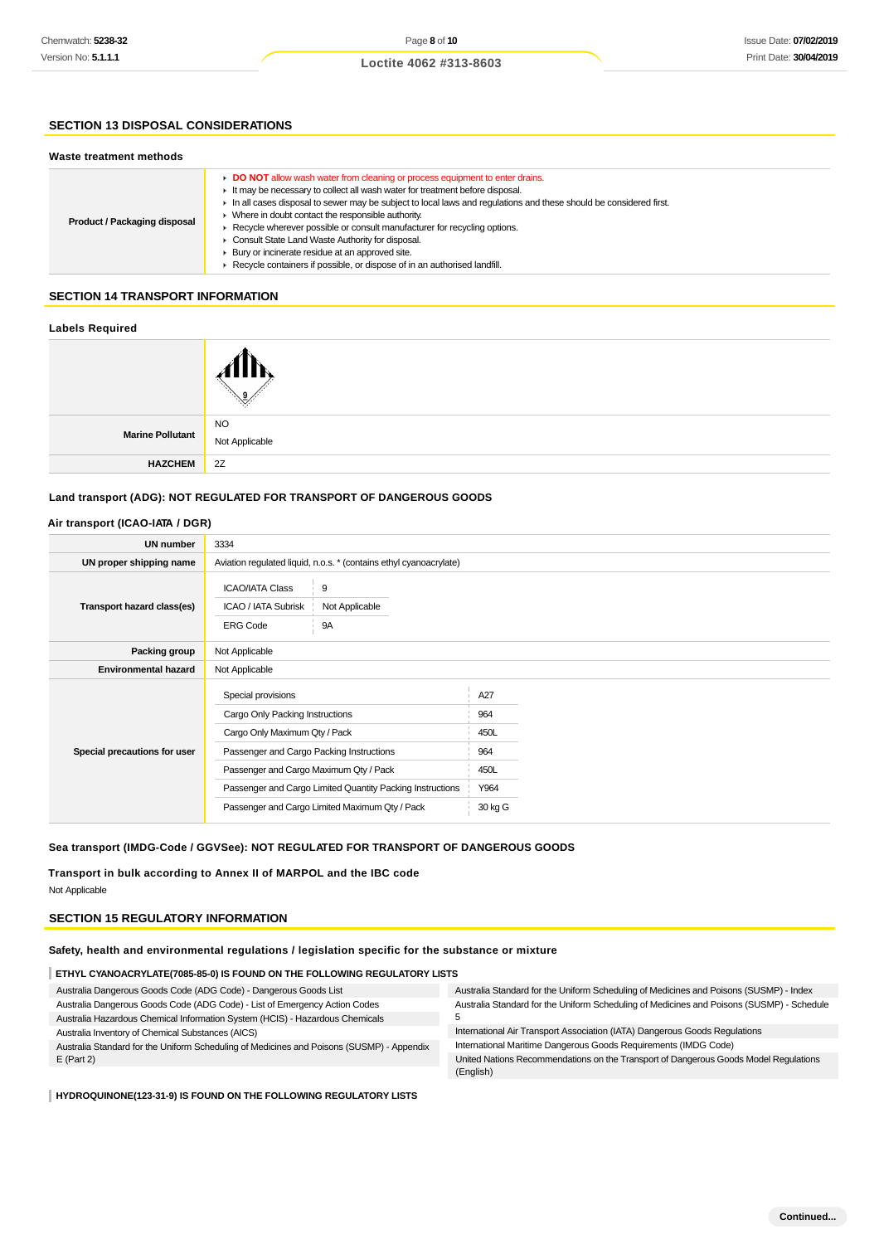#### **SECTION 13 DISPOSAL CONSIDERATIONS**

#### **Waste treatment methods**

| Product / Packaging disposal | DO NOT allow wash water from cleaning or process equipment to enter drains.<br>It may be necessary to collect all wash water for treatment before disposal.<br>In all cases disposal to sewer may be subject to local laws and regulations and these should be considered first.<br>Where in doubt contact the responsible authority.<br>► Recycle wherever possible or consult manufacturer for recycling options.<br>Consult State Land Waste Authority for disposal.<br>Bury or incinerate residue at an approved site.<br>Recycle containers if possible, or dispose of in an authorised landfill. |
|------------------------------|--------------------------------------------------------------------------------------------------------------------------------------------------------------------------------------------------------------------------------------------------------------------------------------------------------------------------------------------------------------------------------------------------------------------------------------------------------------------------------------------------------------------------------------------------------------------------------------------------------|
|------------------------------|--------------------------------------------------------------------------------------------------------------------------------------------------------------------------------------------------------------------------------------------------------------------------------------------------------------------------------------------------------------------------------------------------------------------------------------------------------------------------------------------------------------------------------------------------------------------------------------------------------|

#### **SECTION 14 TRANSPORT INFORMATION**

#### **Labels Required**

|                         | .<br>ο                      |
|-------------------------|-----------------------------|
| <b>Marine Pollutant</b> | <b>NO</b><br>Not Applicable |
| <b>HAZCHEM</b>          | 2Z                          |

#### **Land transport (ADG): NOT REGULATED FOR TRANSPORT OF DANGEROUS GOODS**

#### **Air transport (ICAO-IATA / DGR)**

| <b>UN number</b>             | 3334                                                                                                                                                                                                                                                                                        |                                                      |
|------------------------------|---------------------------------------------------------------------------------------------------------------------------------------------------------------------------------------------------------------------------------------------------------------------------------------------|------------------------------------------------------|
| UN proper shipping name      | Aviation regulated liquid, n.o.s. * (contains ethyl cyanoacrylate)                                                                                                                                                                                                                          |                                                      |
| Transport hazard class(es)   | 9<br><b>ICAO/IATA Class</b><br>ICAO / IATA Subrisk<br>Not Applicable<br><b>ERG Code</b><br><b>9A</b>                                                                                                                                                                                        |                                                      |
| Packing group                | Not Applicable                                                                                                                                                                                                                                                                              |                                                      |
| <b>Environmental hazard</b>  | Not Applicable                                                                                                                                                                                                                                                                              |                                                      |
| Special precautions for user | Special provisions<br>Cargo Only Packing Instructions<br>Cargo Only Maximum Qty / Pack<br>Passenger and Cargo Packing Instructions<br>Passenger and Cargo Maximum Qty / Pack<br>Passenger and Cargo Limited Quantity Packing Instructions<br>Passenger and Cargo Limited Maximum Qty / Pack | A27<br>964<br>450L<br>964<br>450L<br>Y964<br>30 kg G |

#### **Sea transport (IMDG-Code / GGVSee): NOT REGULATED FOR TRANSPORT OF DANGEROUS GOODS**

**Transport in bulk according to Annex II of MARPOL and the IBC code** Not Applicable

#### **SECTION 15 REGULATORY INFORMATION**

#### **Safety, health and environmental regulations / legislation specific for the substance or mixture**

| ETHYL CYANOACRYLATE(7085-85-0) IS FOUND ON THE FOLLOWING REGULATORY LISTS |
|---------------------------------------------------------------------------|
|---------------------------------------------------------------------------|

| Australia Dangerous Goods Code (ADG Code) - Dangerous Goods List                          | Australia Standard for the Uniform Scheduling of Medicines and Poisons (SUSMP) - Index    |
|-------------------------------------------------------------------------------------------|-------------------------------------------------------------------------------------------|
| Australia Dangerous Goods Code (ADG Code) - List of Emergency Action Codes                | Australia Standard for the Uniform Scheduling of Medicines and Poisons (SUSMP) - Schedule |
| Australia Hazardous Chemical Information System (HCIS) - Hazardous Chemicals              |                                                                                           |
| Australia Inventory of Chemical Substances (AICS)                                         | International Air Transport Association (IATA) Dangerous Goods Regulations                |
| Australia Standard for the Uniform Scheduling of Medicines and Poisons (SUSMP) - Appendix | International Maritime Dangerous Goods Requirements (IMDG Code)                           |
| $E$ (Part 2)                                                                              | United Nations Recommendations on the Transport of Dangerous Goods Model Regulations      |
|                                                                                           | (English)                                                                                 |

#### **HYDROQUINONE(123-31-9) IS FOUND ON THE FOLLOWING REGULATORY LISTS**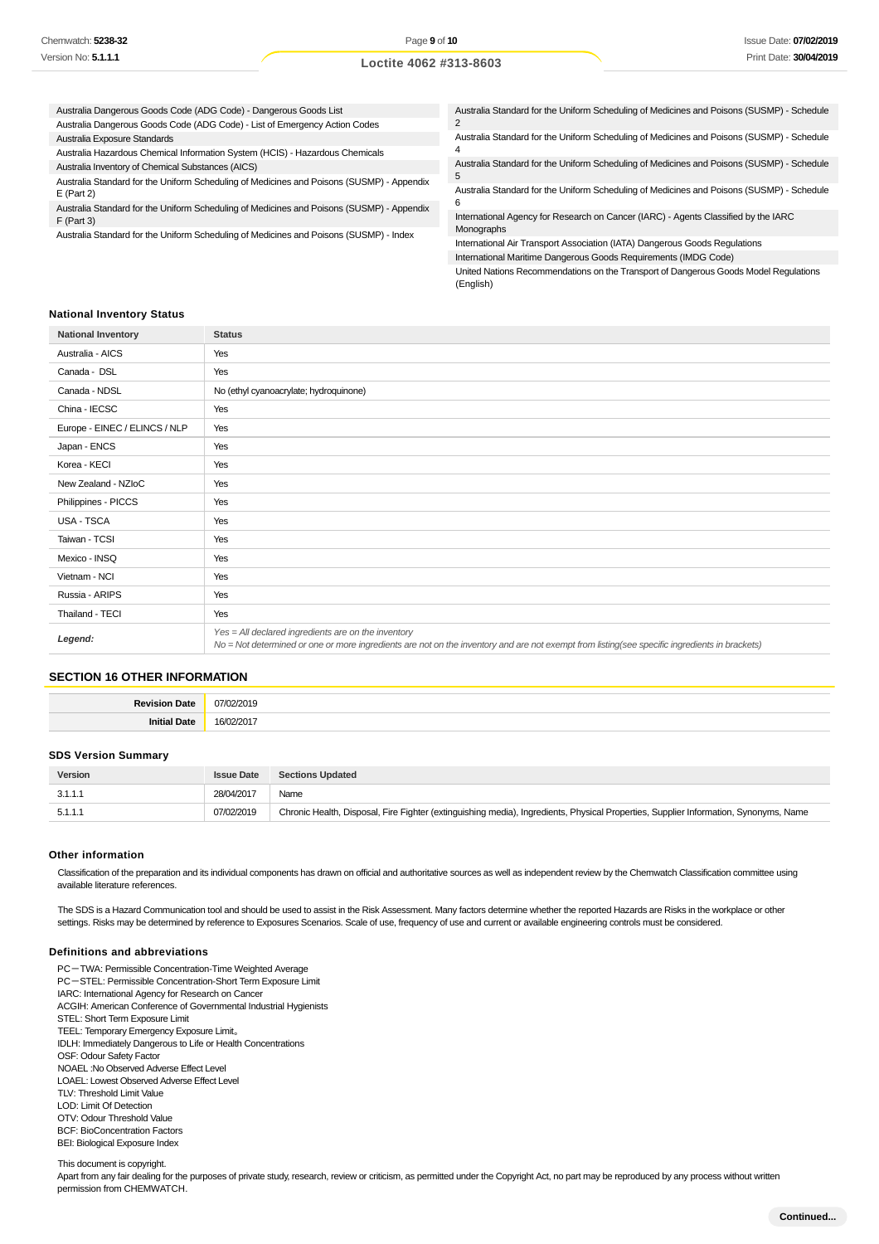| Australia Dangerous Goods Code (ADG Code) - Dangerous Goods List                          | Australia Standard for the Uniform Scheduling of Medicines and Poisons (SUSMP) - Schedule |  |
|-------------------------------------------------------------------------------------------|-------------------------------------------------------------------------------------------|--|
| Australia Dangerous Goods Code (ADG Code) - List of Emergency Action Codes                |                                                                                           |  |
| Australia Exposure Standards                                                              | Australia Standard for the Uniform Scheduling of Medicines and Poisons (SUSMP) - Schedule |  |
| Australia Hazardous Chemical Information System (HCIS) - Hazardous Chemicals              |                                                                                           |  |
| Australia Inventory of Chemical Substances (AICS)                                         | Australia Standard for the Uniform Scheduling of Medicines and Poisons (SUSMP) - Schedule |  |
| Australia Standard for the Uniform Scheduling of Medicines and Poisons (SUSMP) - Appendix | 5                                                                                         |  |
| $E$ (Part 2)                                                                              | Australia Standard for the Uniform Scheduling of Medicines and Poisons (SUSMP) - Schedule |  |
| Australia Standard for the Uniform Scheduling of Medicines and Poisons (SUSMP) - Appendix | b                                                                                         |  |
| $F$ (Part 3)                                                                              | International Agency for Research on Cancer (IARC) - Agents Classified by the IARC        |  |
| Australia Standard for the Uniform Scheduling of Medicines and Poisons (SUSMP) - Index    | Monographs                                                                                |  |
|                                                                                           | International Air Transport Association (IATA) Dangerous Goods Regulations                |  |
|                                                                                           | International Maritime Dangerous Goods Requirements (IMDG Code)                           |  |
|                                                                                           | United National Recommendations on the Transport of Dangerous Coade Model Requlations     |  |

nited Nations Recommendations on the Transport of Dangerous Goods Model Regulations (English)

#### **National Inventory Status**

| <b>National Inventory</b>     | <b>Status</b>                                                                                                                                                                                        |
|-------------------------------|------------------------------------------------------------------------------------------------------------------------------------------------------------------------------------------------------|
| Australia - AICS              | Yes                                                                                                                                                                                                  |
| Canada - DSL                  | Yes                                                                                                                                                                                                  |
| Canada - NDSL                 | No (ethyl cyanoacrylate; hydroquinone)                                                                                                                                                               |
| China - IECSC                 | Yes                                                                                                                                                                                                  |
| Europe - EINEC / ELINCS / NLP | Yes                                                                                                                                                                                                  |
| Japan - ENCS                  | Yes                                                                                                                                                                                                  |
| Korea - KECI                  | Yes                                                                                                                                                                                                  |
| New Zealand - NZIoC           | Yes                                                                                                                                                                                                  |
| Philippines - PICCS           | Yes                                                                                                                                                                                                  |
| USA - TSCA                    | Yes                                                                                                                                                                                                  |
| Taiwan - TCSI                 | Yes                                                                                                                                                                                                  |
| Mexico - INSQ                 | Yes                                                                                                                                                                                                  |
| Vietnam - NCI                 | Yes                                                                                                                                                                                                  |
| Russia - ARIPS                | Yes                                                                                                                                                                                                  |
| Thailand - TECI               | Yes                                                                                                                                                                                                  |
| Legend:                       | Yes = All declared ingredients are on the inventory<br>No = Not determined or one or more ingredients are not on the inventory and are not exempt from listing(see specific ingredients in brackets) |

### **SECTION 16 OTHER INFORMATION**

| <b>Davie</b> |  |
|--------------|--|
|              |  |

#### **SDS Version Summary**

| Version | <b>Issue Date</b> | <b>Sections Updated</b>                                                                                                              |
|---------|-------------------|--------------------------------------------------------------------------------------------------------------------------------------|
| 3.1.1.1 | 28/04/2017        | Name                                                                                                                                 |
| 5.1.1.1 | 07/02/2019        | Chronic Health, Disposal, Fire Fighter (extinguishing media), Ingredients, Physical Properties, Supplier Information, Synonyms, Name |
|         |                   |                                                                                                                                      |

#### **Other information**

Classification of the preparation and its individual components has drawn on official and authoritative sources as well as independent review by the Chemwatch Classification committee using available literature references.

The SDS is a Hazard Communication tool and should be used to assist in the Risk Assessment. Many factors determine whether the reported Hazards are Risks in the workplace or other settings. Risks may be determined by reference to Exposures Scenarios. Scale of use, frequency of use and current or available engineering controls must be considered.

#### **Definitions and abbreviations**

PC-TWA: Permissible Concentration-Time Weighted Average PC-STEL: Permissible Concentration-Short Term Exposure Limit IARC: International Agency for Research on Cancer ACGIH: American Conference of Governmental Industrial Hygienists STEL: Short Term Exposure Limit TEEL: Temporary Emergency Exposure Limit。 IDLH: Immediately Dangerous to Life or Health Concentrations OSF: Odour Safety Factor NOAEL :No Observed Adverse Effect Level LOAEL: Lowest Observed Adverse Effect Level TLV: Threshold Limit Value LOD: Limit Of Detection OTV: Odour Threshold Value BCF: BioConcentration Factors BEI: Biological Exposure Index

This document is copyright.

Apart from any fair dealing for the purposes of private study, research, review or criticism, as permitted under the Copyright Act, no part may be reproduced by any process without written permission from CHEMWATCH.